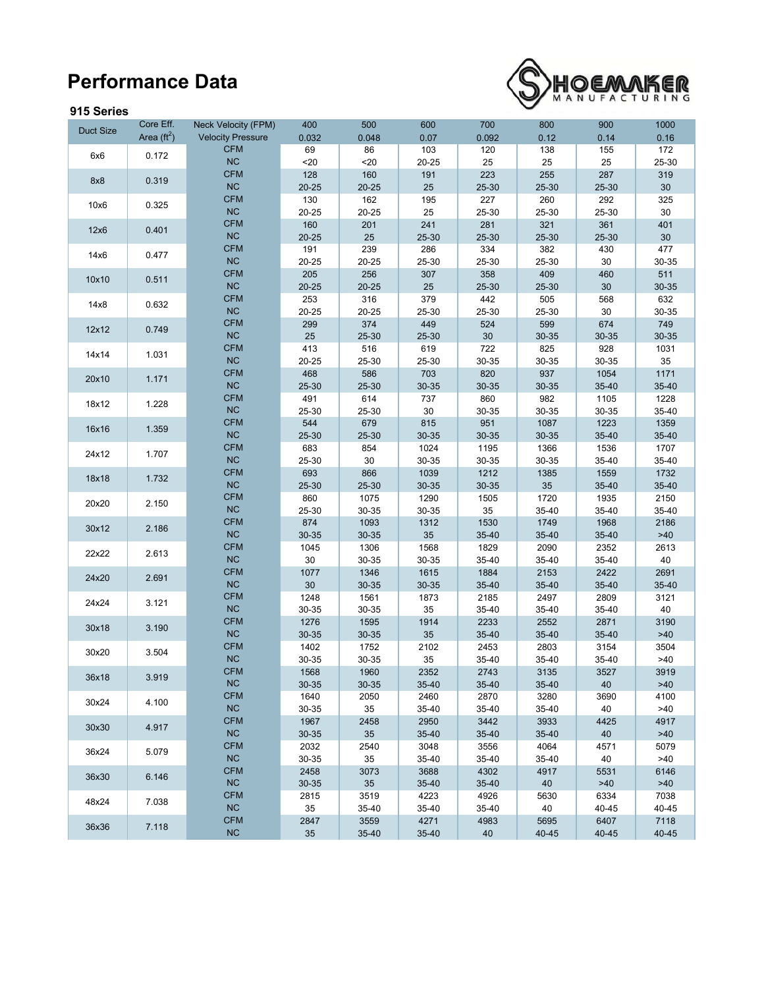## **Performance Data**

## **915 Series**



| J I V VGI IGJ    |                                   |                                                 |              |              |             |              |             |             |              |
|------------------|-----------------------------------|-------------------------------------------------|--------------|--------------|-------------|--------------|-------------|-------------|--------------|
| <b>Duct Size</b> | Core Eff.<br>Area $(\text{ft}^2)$ | Neck Velocity (FPM)<br><b>Velocity Pressure</b> | 400<br>0.032 | 500<br>0.048 | 600<br>0.07 | 700<br>0.092 | 800<br>0.12 | 900<br>0.14 | 1000<br>0.16 |
|                  |                                   | <b>CFM</b>                                      | 69           | 86           | 103         | 120          | 138         | 155         | 172          |
| 6x6              | 0.172                             | NC                                              | $20$         | $20$         | 20-25       | 25           | 25          | 25          | 25-30        |
|                  |                                   | <b>CFM</b>                                      | 128          | 160          | 191         | 223          | 255         | 287         | 319          |
| 8x8              | 0.319                             | NC                                              | $20 - 25$    | $20 - 25$    | 25          | 25-30        | 25-30       | 25-30       | 30           |
|                  |                                   | <b>CFM</b>                                      | 130          | 162          | 195         | 227          | 260         | 292         | 325          |
| 10x6             | 0.325                             | NC                                              | 20-25        |              | 25          | 25-30        |             |             | 30           |
|                  |                                   | <b>CFM</b>                                      |              | 20-25        |             |              | 25-30       | 25-30       |              |
| 12x6             | 0.401                             | NC                                              | 160          | 201          | 241         | 281          | 321         | 361         | 401          |
|                  |                                   |                                                 | $20 - 25$    | 25           | 25-30       | 25-30        | 25-30       | 25-30       | $30\,$       |
| 14x6             | 0.477                             | <b>CFM</b>                                      | 191          | 239          | 286         | 334          | 382         | 430         | 477          |
|                  |                                   | NC                                              | 20-25        | 20-25        | 25-30       | 25-30        | 25-30       | 30          | 30-35        |
| 10x10            | 0.511                             | <b>CFM</b>                                      | 205          | 256          | 307         | 358          | 409         | 460         | 511          |
|                  |                                   | NC                                              | $20 - 25$    | $20 - 25$    | 25          | 25-30        | 25-30       | 30          | 30-35        |
| 14x8             | 0.632                             | <b>CFM</b>                                      | 253          | 316          | 379         | 442          | 505         | 568         | 632          |
|                  |                                   | NC                                              | 20-25        | 20-25        | 25-30       | 25-30        | 25-30       | 30          | 30-35        |
| 12x12            | 0.749                             | <b>CFM</b>                                      | 299          | 374          | 449         | 524          | 599         | 674         | 749          |
|                  |                                   | <b>NC</b>                                       | 25           | 25-30        | 25-30       | $30\,$       | 30-35       | 30-35       | 30-35        |
| 14x14            | 1.031                             | <b>CFM</b>                                      | 413          | 516          | 619         | 722          | 825         | 928         | 1031         |
|                  |                                   | NC                                              | 20-25        | 25-30        | 25-30       | 30-35        | 30-35       | 30-35       | 35           |
| 20x10            | 1.171                             | CFM                                             | 468          | 586          | 703         | 820          | 937         | 1054        | 1171         |
|                  |                                   | NC                                              | 25-30        | 25-30        | 30-35       | 30-35        | 30-35       | 35-40       | 35-40        |
| 18x12            | 1.228                             | <b>CFM</b>                                      | 491          | 614          | 737         | 860          | 982         | 1105        | 1228         |
|                  |                                   | NC                                              | 25-30        | 25-30        | 30          | 30-35        | 30-35       | 30-35       | 35-40        |
| 16x16            | 1.359                             | <b>CFM</b>                                      | 544          | 679          | 815         | 951          | 1087        | 1223        | 1359         |
|                  |                                   | NC                                              | 25-30        | 25-30        | 30-35       | 30-35        | 30-35       | 35-40       | 35-40        |
| 24x12            | 1.707                             | <b>CFM</b>                                      | 683          | 854          | 1024        | 1195         | 1366        | 1536        | 1707         |
|                  |                                   | NC                                              | 25-30        | 30           | 30-35       | 30-35        | 30-35       | 35-40       | 35-40        |
| 18x18            | 1.732                             | <b>CFM</b>                                      | 693          | 866          | 1039        | 1212         | 1385        | 1559        | 1732         |
|                  |                                   | NC                                              | 25-30        | 25-30        | 30-35       | 30-35        | 35          | 35-40       | 35-40        |
| 20x20            | 2.150                             | <b>CFM</b>                                      | 860          | 1075         | 1290        | 1505         | 1720        | 1935        | 2150         |
|                  |                                   | NC                                              | 25-30        | 30-35        | 30-35       | 35           | 35-40       | 35-40       | 35-40        |
| 30x12            | 2.186                             | <b>CFM</b>                                      | 874          | 1093         | 1312        | 1530         | 1749        | 1968        | 2186         |
|                  |                                   | NC                                              | 30-35        | 30-35        | 35          | 35-40        | 35-40       | 35-40       | $>40$        |
| 22x22            | 2.613                             | CFM                                             | 1045         | 1306         | 1568        | 1829         | 2090        | 2352        | 2613         |
|                  |                                   | NC                                              | 30           | 30-35        | 30-35       | 35-40        | 35-40       | 35-40       | 40           |
| 24x20            | 2.691                             | <b>CFM</b>                                      | 1077         | 1346         | 1615        | 1884         | 2153        | 2422        | 2691         |
|                  |                                   | NC                                              | 30           | 30-35        | 30-35       | 35-40        | 35-40       | 35-40       | 35-40        |
| 24x24            | 3.121                             | <b>CFM</b>                                      | 1248         | 1561         | 1873        | 2185         | 2497        | 2809        | 3121         |
|                  |                                   | NC                                              | 30-35        | 30-35        | 35          | 35-40        | 35-40       | 35-40       | 40           |
| 30x18            | 3.190                             | <b>CFM</b>                                      | 1276         | 1595         | 1914        | 2233         | 2552        | 2871        | 3190         |
|                  |                                   | NC                                              | 30-35        | 30-35        | 35          | 35-40        | 35-40       | 35-40       | $>40$        |
| 30x20            | 3.504                             | <b>CFM</b>                                      | 1402         | 1752         | 2102        | 2453         | 2803        | 3154        | 3504         |
|                  |                                   | <b>NC</b>                                       | 30-35        | 30-35        | 35          | 35-40        | 35-40       | 35-40       | >40          |
|                  |                                   | <b>CFM</b>                                      | 1568         | 1960         | 2352        | 2743         | 3135        | 3527        | 3919         |
| 36x18            | 3.919                             | <b>NC</b>                                       | 30-35        | 30-35        | 35-40       | 35-40        | 35-40       | 40          | >40          |
| 30x24            | 4.100                             | <b>CFM</b>                                      | 1640         | 2050         | 2460        | 2870         | 3280        | 3690        | 4100         |
|                  |                                   | NC                                              | 30-35        | 35           | 35-40       | 35-40        | 35-40       | 40          | >40          |
|                  |                                   | <b>CFM</b>                                      | 1967         | 2458         | 2950        | 3442         | 3933        | 4425        | 4917         |
| 30x30            | 4.917                             | NC                                              | 30-35        | 35           | 35-40       | 35-40        | 35-40       | 40          | >40          |
|                  |                                   | <b>CFM</b>                                      | 2032         | 2540         | 3048        | 3556         | 4064        | 4571        | 5079         |
| 36x24            | 5.079                             | $NC$                                            | 30-35        | 35           | 35-40       | 35-40        | 35-40       | 40          | >40          |
|                  |                                   | <b>CFM</b>                                      | 2458         | 3073         | 3688        | 4302         | 4917        | 5531        | 6146         |
| 36x30            | 6.146                             | NC                                              | 30-35        | 35           | 35-40       | 35-40        | 40          | >40         | >40          |
|                  |                                   | <b>CFM</b>                                      | 2815         | 3519         | 4223        | 4926         | 5630        | 6334        | 7038         |
| 48x24            | 7.038                             | <b>NC</b>                                       | 35           | 35-40        | 35-40       | 35-40        | 40          | 40-45       | 40-45        |
|                  |                                   | <b>CFM</b>                                      | 2847         | 3559         | 4271        | 4983         | 5695        | 6407        | 7118         |
| 36x36            | 7.118                             | NC                                              | 35           | 35-40        | 35-40       | 40           | 40-45       | 40-45       | 40-45        |
|                  |                                   |                                                 |              |              |             |              |             |             |              |